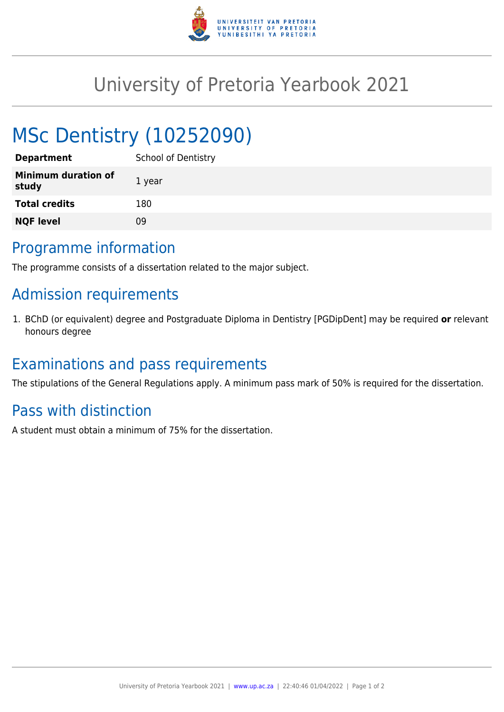

## University of Pretoria Yearbook 2021

# MSc Dentistry (10252090)

| <b>Department</b>                   | <b>School of Dentistry</b> |
|-------------------------------------|----------------------------|
| <b>Minimum duration of</b><br>study | 1 year                     |
| <b>Total credits</b>                | 180                        |
| <b>NQF level</b>                    | ΩÓ                         |

#### Programme information

The programme consists of a dissertation related to the major subject.

## Admission requirements

1. BChD (or equivalent) degree and Postgraduate Diploma in Dentistry [PGDipDent] may be required **or** relevant honours degree

### Examinations and pass requirements

The stipulations of the General Regulations apply. A minimum pass mark of 50% is required for the dissertation.

### Pass with distinction

A student must obtain a minimum of 75% for the dissertation.